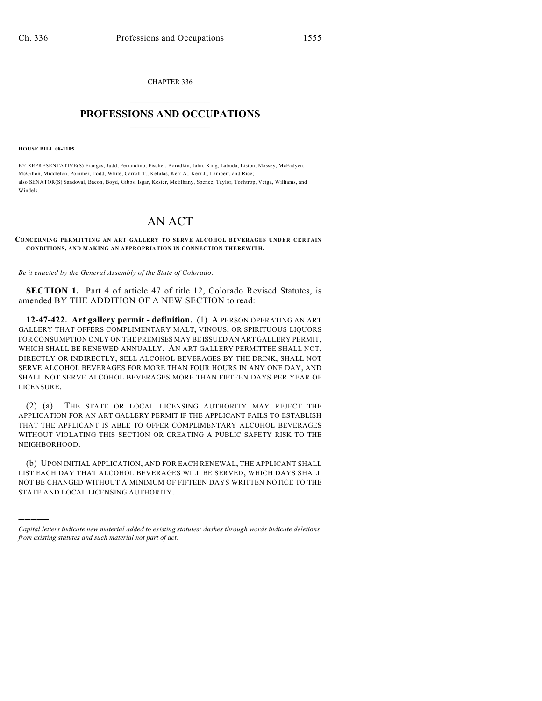CHAPTER 336  $\overline{\phantom{a}}$  . The set of the set of the set of the set of the set of the set of the set of the set of the set of the set of the set of the set of the set of the set of the set of the set of the set of the set of the set o

## **PROFESSIONS AND OCCUPATIONS**  $\frac{1}{2}$  ,  $\frac{1}{2}$  ,  $\frac{1}{2}$  ,  $\frac{1}{2}$  ,  $\frac{1}{2}$  ,  $\frac{1}{2}$

**HOUSE BILL 08-1105**

)))))

BY REPRESENTATIVE(S) Frangas, Judd, Ferrandino, Fischer, Borodkin, Jahn, King, Labuda, Liston, Massey, McFadyen, McGihon, Middleton, Pommer, Todd, White, Carroll T., Kefalas, Kerr A., Kerr J., Lambert, and Rice; also SENATOR(S) Sandoval, Bacon, Boyd, Gibbs, Isgar, Kester, McElhany, Spence, Taylor, Tochtrop, Veiga, Williams, and **Windels** 

## AN ACT

## **CONCERNING PERMITTING AN ART GALLERY TO SERVE ALCOHOL BEVERAGES UNDER CERTAIN CONDITIONS, AND MAKING AN APPROPRIATION IN CONNECTION THEREWITH.**

*Be it enacted by the General Assembly of the State of Colorado:*

**SECTION 1.** Part 4 of article 47 of title 12, Colorado Revised Statutes, is amended BY THE ADDITION OF A NEW SECTION to read:

**12-47-422. Art gallery permit - definition.** (1) A PERSON OPERATING AN ART GALLERY THAT OFFERS COMPLIMENTARY MALT, VINOUS, OR SPIRITUOUS LIQUORS FOR CONSUMPTION ONLY ON THE PREMISES MAY BE ISSUED AN ART GALLERY PERMIT, WHICH SHALL BE RENEWED ANNUALLY. AN ART GALLERY PERMITTEE SHALL NOT, DIRECTLY OR INDIRECTLY, SELL ALCOHOL BEVERAGES BY THE DRINK, SHALL NOT SERVE ALCOHOL BEVERAGES FOR MORE THAN FOUR HOURS IN ANY ONE DAY, AND SHALL NOT SERVE ALCOHOL BEVERAGES MORE THAN FIFTEEN DAYS PER YEAR OF LICENSURE.

(2) (a) THE STATE OR LOCAL LICENSING AUTHORITY MAY REJECT THE APPLICATION FOR AN ART GALLERY PERMIT IF THE APPLICANT FAILS TO ESTABLISH THAT THE APPLICANT IS ABLE TO OFFER COMPLIMENTARY ALCOHOL BEVERAGES WITHOUT VIOLATING THIS SECTION OR CREATING A PUBLIC SAFETY RISK TO THE NEIGHBORHOOD.

(b) UPON INITIAL APPLICATION, AND FOR EACH RENEWAL, THE APPLICANT SHALL LIST EACH DAY THAT ALCOHOL BEVERAGES WILL BE SERVED, WHICH DAYS SHALL NOT BE CHANGED WITHOUT A MINIMUM OF FIFTEEN DAYS WRITTEN NOTICE TO THE STATE AND LOCAL LICENSING AUTHORITY.

*Capital letters indicate new material added to existing statutes; dashes through words indicate deletions from existing statutes and such material not part of act.*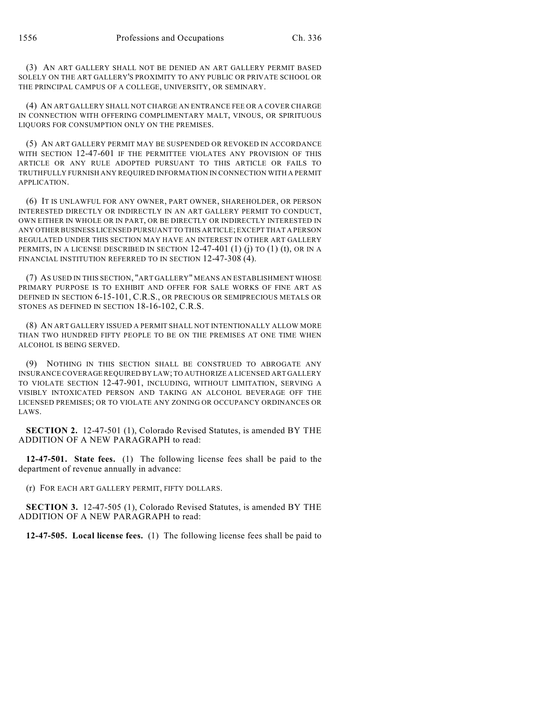(3) AN ART GALLERY SHALL NOT BE DENIED AN ART GALLERY PERMIT BASED SOLELY ON THE ART GALLERY'S PROXIMITY TO ANY PUBLIC OR PRIVATE SCHOOL OR THE PRINCIPAL CAMPUS OF A COLLEGE, UNIVERSITY, OR SEMINARY.

(4) AN ART GALLERY SHALL NOT CHARGE AN ENTRANCE FEE OR A COVER CHARGE IN CONNECTION WITH OFFERING COMPLIMENTARY MALT, VINOUS, OR SPIRITUOUS LIQUORS FOR CONSUMPTION ONLY ON THE PREMISES.

(5) AN ART GALLERY PERMIT MAY BE SUSPENDED OR REVOKED IN ACCORDANCE WITH SECTION 12-47-601 IF THE PERMITTEE VIOLATES ANY PROVISION OF THIS ARTICLE OR ANY RULE ADOPTED PURSUANT TO THIS ARTICLE OR FAILS TO TRUTHFULLY FURNISH ANY REQUIRED INFORMATION IN CONNECTION WITH A PERMIT APPLICATION.

(6) IT IS UNLAWFUL FOR ANY OWNER, PART OWNER, SHAREHOLDER, OR PERSON INTERESTED DIRECTLY OR INDIRECTLY IN AN ART GALLERY PERMIT TO CONDUCT, OWN EITHER IN WHOLE OR IN PART, OR BE DIRECTLY OR INDIRECTLY INTERESTED IN ANY OTHER BUSINESS LICENSED PURSUANT TO THIS ARTICLE; EXCEPT THAT A PERSON REGULATED UNDER THIS SECTION MAY HAVE AN INTEREST IN OTHER ART GALLERY PERMITS, IN A LICENSE DESCRIBED IN SECTION  $12-47-401$  (1) (i) TO (1) (t), OR IN A FINANCIAL INSTITUTION REFERRED TO IN SECTION 12-47-308 (4).

(7) AS USED IN THIS SECTION, "ART GALLERY" MEANS AN ESTABLISHMENT WHOSE PRIMARY PURPOSE IS TO EXHIBIT AND OFFER FOR SALE WORKS OF FINE ART AS DEFINED IN SECTION 6-15-101, C.R.S., OR PRECIOUS OR SEMIPRECIOUS METALS OR STONES AS DEFINED IN SECTION 18-16-102, C.R.S.

(8) AN ART GALLERY ISSUED A PERMIT SHALL NOT INTENTIONALLY ALLOW MORE THAN TWO HUNDRED FIFTY PEOPLE TO BE ON THE PREMISES AT ONE TIME WHEN ALCOHOL IS BEING SERVED.

(9) NOTHING IN THIS SECTION SHALL BE CONSTRUED TO ABROGATE ANY INSURANCE COVERAGE REQUIRED BY LAW; TO AUTHORIZE A LICENSED ART GALLERY TO VIOLATE SECTION 12-47-901, INCLUDING, WITHOUT LIMITATION, SERVING A VISIBLY INTOXICATED PERSON AND TAKING AN ALCOHOL BEVERAGE OFF THE LICENSED PREMISES; OR TO VIOLATE ANY ZONING OR OCCUPANCY ORDINANCES OR LAWS.

**SECTION 2.** 12-47-501 (1), Colorado Revised Statutes, is amended BY THE ADDITION OF A NEW PARAGRAPH to read:

**12-47-501. State fees.** (1) The following license fees shall be paid to the department of revenue annually in advance:

(r) FOR EACH ART GALLERY PERMIT, FIFTY DOLLARS.

**SECTION 3.** 12-47-505 (1), Colorado Revised Statutes, is amended BY THE ADDITION OF A NEW PARAGRAPH to read:

**12-47-505. Local license fees.** (1) The following license fees shall be paid to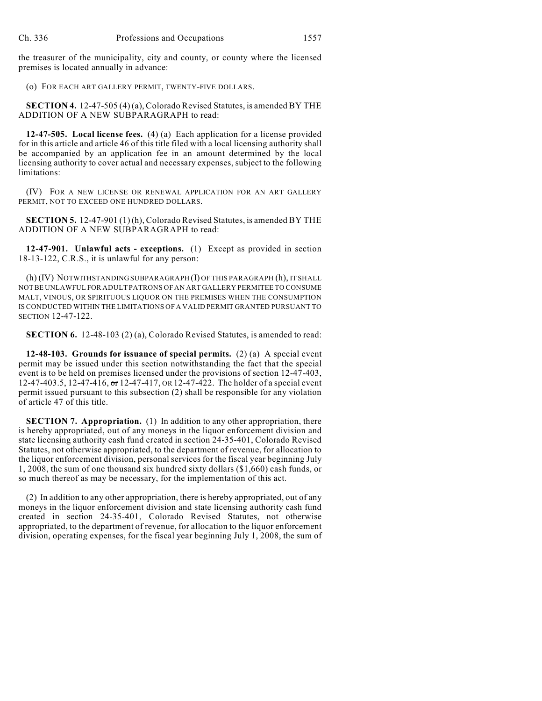the treasurer of the municipality, city and county, or county where the licensed premises is located annually in advance:

(o) FOR EACH ART GALLERY PERMIT, TWENTY-FIVE DOLLARS.

**SECTION 4.** 12-47-505 (4) (a), Colorado Revised Statutes, is amended BY THE ADDITION OF A NEW SUBPARAGRAPH to read:

**12-47-505. Local license fees.** (4) (a) Each application for a license provided for in this article and article 46 of this title filed with a local licensing authority shall be accompanied by an application fee in an amount determined by the local licensing authority to cover actual and necessary expenses, subject to the following limitations:

(IV) FOR A NEW LICENSE OR RENEWAL APPLICATION FOR AN ART GALLERY PERMIT, NOT TO EXCEED ONE HUNDRED DOLLARS.

**SECTION 5.** 12-47-901 (1) (h), Colorado Revised Statutes, is amended BY THE ADDITION OF A NEW SUBPARAGRAPH to read:

**12-47-901. Unlawful acts - exceptions.** (1) Except as provided in section 18-13-122, C.R.S., it is unlawful for any person:

(h) (IV) NOTWITHSTANDING SUBPARAGRAPH (I) OF THIS PARAGRAPH (h), IT SHALL NOT BE UNLAWFUL FOR ADULT PATRONS OF AN ART GALLERY PERMITEE TO CONSUME MALT, VINOUS, OR SPIRITUOUS LIQUOR ON THE PREMISES WHEN THE CONSUMPTION IS CONDUCTED WITHIN THE LIMITATIONS OF A VALID PERMIT GRANTED PURSUANT TO SECTION 12-47-122.

**SECTION 6.** 12-48-103 (2) (a), Colorado Revised Statutes, is amended to read:

**12-48-103. Grounds for issuance of special permits.** (2) (a) A special event permit may be issued under this section notwithstanding the fact that the special event is to be held on premises licensed under the provisions of section 12-47-403, 12-47-403.5, 12-47-416, or 12-47-417, OR 12-47-422. The holder of a special event permit issued pursuant to this subsection (2) shall be responsible for any violation of article 47 of this title.

**SECTION 7. Appropriation.** (1) In addition to any other appropriation, there is hereby appropriated, out of any moneys in the liquor enforcement division and state licensing authority cash fund created in section 24-35-401, Colorado Revised Statutes, not otherwise appropriated, to the department of revenue, for allocation to the liquor enforcement division, personal services for the fiscal year beginning July 1, 2008, the sum of one thousand six hundred sixty dollars (\$1,660) cash funds, or so much thereof as may be necessary, for the implementation of this act.

(2) In addition to any other appropriation, there is hereby appropriated, out of any moneys in the liquor enforcement division and state licensing authority cash fund created in section 24-35-401, Colorado Revised Statutes, not otherwise appropriated, to the department of revenue, for allocation to the liquor enforcement division, operating expenses, for the fiscal year beginning July 1, 2008, the sum of